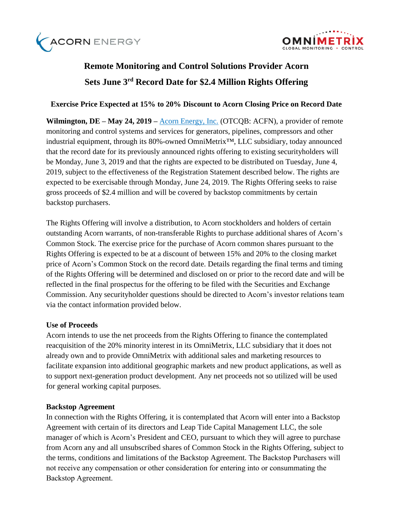



# **Remote Monitoring and Control Solutions Provider Acorn Sets June 3rd Record Date for \$2.4 Million Rights Offering**

**Exercise Price Expected at 15% to 20% Discount to Acorn Closing Price on Record Date** 

**Wilmington, DE – May 24, 2019 –** [Acorn Energy, Inc.](http://acornenergy.com/) (OTCQB: ACFN), a provider of remote monitoring and control systems and services for generators, pipelines, compressors and other industrial equipment, through its 80%-owned OmniMetrix™, LLC subsidiary, today announced that the record date for its previously announced rights offering to existing securityholders will be Monday, June 3, 2019 and that the rights are expected to be distributed on Tuesday, June 4, 2019, subject to the effectiveness of the Registration Statement described below. The rights are expected to be exercisable through Monday, June 24, 2019. The Rights Offering seeks to raise gross proceeds of \$2.4 million and will be covered by backstop commitments by certain backstop purchasers.

The Rights Offering will involve a distribution, to Acorn stockholders and holders of certain outstanding Acorn warrants, of non-transferable Rights to purchase additional shares of Acorn's Common Stock. The exercise price for the purchase of Acorn common shares pursuant to the Rights Offering is expected to be at a discount of between 15% and 20% to the closing market price of Acorn's Common Stock on the record date. Details regarding the final terms and timing of the Rights Offering will be determined and disclosed on or prior to the record date and will be reflected in the final prospectus for the offering to be filed with the Securities and Exchange Commission. Any securityholder questions should be directed to Acorn's investor relations team via the contact information provided below.

# **Use of Proceeds**

Acorn intends to use the net proceeds from the Rights Offering to finance the contemplated reacquisition of the 20% minority interest in its OmniMetrix, LLC subsidiary that it does not already own and to provide OmniMetrix with additional sales and marketing resources to facilitate expansion into additional geographic markets and new product applications, as well as to support next-generation product development. Any net proceeds not so utilized will be used for general working capital purposes.

# **Backstop Agreement**

In connection with the Rights Offering, it is contemplated that Acorn will enter into a Backstop Agreement with certain of its directors and Leap Tide Capital Management LLC, the sole manager of which is Acorn's President and CEO, pursuant to which they will agree to purchase from Acorn any and all unsubscribed shares of Common Stock in the Rights Offering, subject to the terms, conditions and limitations of the Backstop Agreement. The Backstop Purchasers will not receive any compensation or other consideration for entering into or consummating the Backstop Agreement.